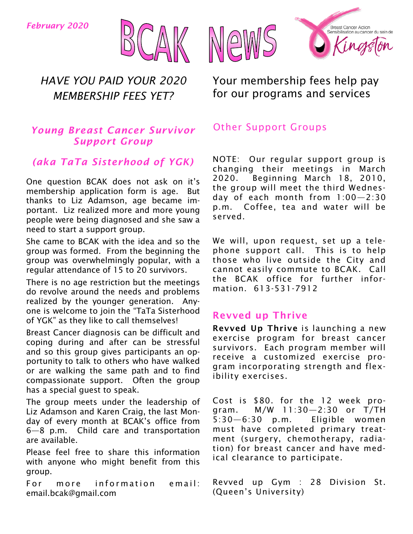*February 2020*





### *Young Breast Cancer Survivor Support Group*

### *(aka TaTa Sisterhood of YGK)*

One question BCAK does not ask on it's membership application form is age. But thanks to Liz Adamson, age became important. Liz realized more and more young people were being diagnosed and she saw a need to start a support group.

She came to BCAK with the idea and so the group was formed. From the beginning the group was overwhelmingly popular, with a regular attendance of 15 to 20 survivors.

There is no age restriction but the meetings do revolve around the needs and problems realized by the younger generation. Anyone is welcome to join the "TaTa Sisterhood of YGK" as they like to call themselves!

Breast Cancer diagnosis can be difficult and coping during and after can be stressful and so this group gives participants an opportunity to talk to others who have walked or are walking the same path and to find compassionate support. Often the group has a special guest to speak.

The group meets under the leadership of Liz Adamson and Karen Craig, the last Monday of every month at BCAK's office from 6—8 p.m. Child care and transportation are available.

Please feel free to share this information with anyone who might benefit from this group.

For more information email: email.bcak@gmail.com



Your membership fees help pay for our programs and services

### Other Support Groups

NOTE: Our regular support group is changing their meetings in March 2020. Beginning March 18, 2010, the group will meet the third Wednesday of each month from 1:00—2:30 p.m. Coffee, tea and water will be served.

We will, upon request, set up a telephone support call. This is to help those who live outside the City and cannot easily commute to BCAK. Call the BCAK office for further information. 613-531-7912

### Revved up Thrive

Revved Up Thrive is launching a new exercise program for breast cancer survivors. Each program member will receive a customized exercise program incorporating strength and flexibility exercises.

Cost is \$80. for the 12 week program. M/W 11:30—2:30 or T/TH 5:30—6:30 p.m. Eligible women must have completed primary treatment (surgery, chemotherapy, radiation) for breast cancer and have medical clearance to participate.

Revved up Gym : 28 Division St. (Queen's University)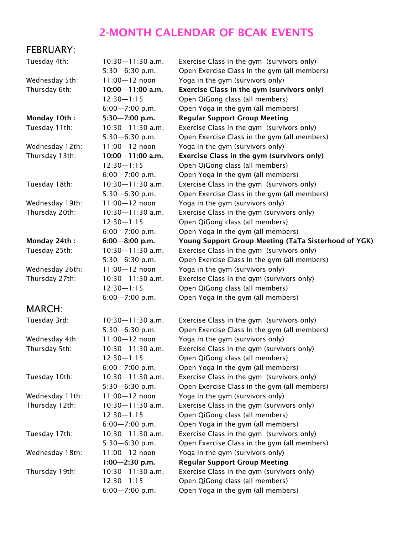## 2-MONTH CALENDAR OF BCAK EVENTS

### FEBRUARY:

| Tuesday 4th:    | 10:30-11:30 a.m.     | E              |
|-----------------|----------------------|----------------|
|                 | $5:30 - 6:30$ p.m.   | $\overline{C}$ |
| Wednesday 5th:  | $11:00 - 12$ noon    | Y              |
| Thursday 6th:   | $10:00 - 11:00$ a.m. | E              |
|                 | $12:30 - 1:15$       | $\overline{C}$ |
|                 | $6:00 - 7:00$ p.m.   | $\overline{C}$ |
| Monday 10th:    | $5:30 - 7:00$ p.m.   | F              |
| Tuesday 11th:   | 10:30-11:30 a.m.     | Е              |
|                 | $5:30 - 6:30$ p.m.   | $\mathsf{C}$   |
| Wednesday 12th: | $11:00 - 12$ noon    | Ý              |
| Thursday 13th:  | $10:00 - 11:00$ a.m. | E              |
|                 | $12:30 - 1:15$       | $\overline{C}$ |
|                 | $6:00 - 7:00$ p.m.   | $\overline{C}$ |
| Tuesday 18th:   | 10:30-11:30 a.m.     | E              |
|                 | $5:30 - 6:30$ p.m.   | $\mathsf{C}$   |
| Wednesday 19th: | $11:00 - 12$ noon    | Ý              |
| Thursday 20th:  | 10:30-11:30 a.m.     | E              |
|                 | $12:30 - 1:15$       | $\overline{C}$ |
|                 | $6:00 - 7:00$ p.m.   | $\overline{C}$ |
| Monday 24th:    | $6:00 - 8:00$ p.m.   | ١              |
| Tuesday 25th:   | 10:30-11:30 a.m.     | E              |
|                 | $5:30 - 6:30$ p.m.   | $\mathsf{C}$   |
| Wednesday 26th: | $11:00 - 12$ noon    | Ý              |
| Thursday 27th:  | 10:30-11:30 a.m.     | E              |
|                 | $12:30 - 1:15$       | $\overline{C}$ |
|                 | $6:00 - 7:00$ p.m.   | $\mathsf{C}$   |
| <b>MARCH:</b>   |                      |                |
| Tuesday 3rd:    | 10:30-11:30 a.m.     | E              |
|                 | $5:30 - 6:30$ p.m.   | C              |
| Wednesday 4th:  | $11:00 - 12$ noon    | Y              |
| Thursday 5th:   | 10:30-11:30 a.m.     | E              |
|                 | $12:30 - 1:15$       | $\mathsf{C}$   |
|                 | $6:00 - 7:00$ p.m.   | C              |
| Tuesday 10th:   | 10:30-11:30 a.m.     | Е              |
|                 | $5:30 - 6:30$ p.m.   | C              |
| Wednesday 11th: | $11:00 - 12$ noon    | Y              |
| Thursday 12th:  | 10:30-11:30 a.m.     | E              |
|                 | $12:30 - 1:15$       | C              |
|                 | $6:00 - 7:00$ p.m.   | C              |
| Tuesday 17th:   | 10:30-11:30 a.m.     | E              |
|                 | $5:30 - 6:30$ p.m.   | C              |
| Wednesday 18th: | $11:00 - 12$ noon    | Y              |
|                 | $1:00 - 2:30$ p.m.   | F              |
| Thursday 19th:  | 10:30-11:30 a.m.     | Е              |
|                 | $12:30 - 1:15$       | C              |
|                 | $6:00 - 7:00$ p.m.   | C              |

Exercise Class in the gym (survivors only) Dpen Exercise Class In the gym (all members) oga in the gym (survivors only) Exercise Class in the gym (survivors only) Dpen QiGong class (all members) ) open Yoga in the gym (all members) Regular Support Group Meeting Exercise Class in the gym (survivors only) Dpen Exercise Class in the gym (all members) oga in the gym (survivors only) Exercise Class in the gym (survivors only) )pen QiGong class (all members) Open Yoga in the gym (all members) Exercise Class in the gym (survivors only) Open Exercise Class in the gym (all members) 'oga in the gym (survivors only) Exercise Class in the gym (survivors only) Open QiGong class (all members) Open Yoga in the gym (all members) Oung Support Group Meeting (TaTa Sisterhood of YGK) Exercise Class in the gym (survivors only) Dpen Exercise Class In the gym (all members) oga in the gym (survivors only) Exercise Class in the gym (survivors only) Dpen QiGong class (all members) Open Yoga in the gym (all members)

Exercise Class in the gym (survivors only) Open Exercise Class In the gym (all members) oga in the gym (survivors only) Exercise Class in the gym (survivors only) Dpen QiGong class (all members) Open Yoga in the gym (all members) Exercise Class in the gym (survivors only) Open Exercise Class in the gym (all members) oga in the gym (survivors only) Exercise Class in the gym (survivors only) Open QiGong class (all members) Open Yoga in the gym (all members) Exercise Class in the gym (survivors only) Dpen Exercise Class in the gym (all members) oga in the gym (survivors only) **Regular Support Group Meeting** Exercise Class in the gym (survivors only) Open QiGong class (all members) 6:00—7:00 p.m. Open Yoga in the gym (all members)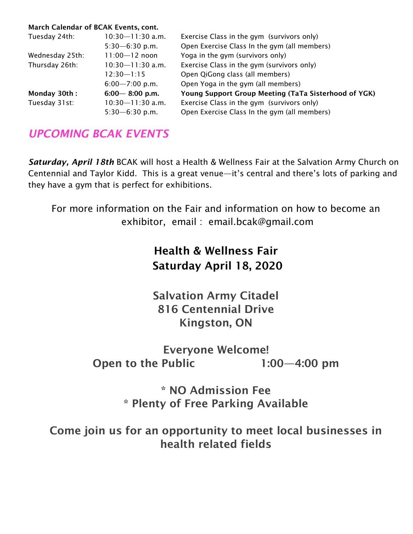#### March Calendar of BCAK Events, cont.

| Tuesday 24th:   | $10:30 - 11:30$ a.m. | Exercise Class in the gym (survivors only)           |
|-----------------|----------------------|------------------------------------------------------|
|                 | $5:30 - 6:30$ p.m.   | Open Exercise Class In the gym (all members)         |
| Wednesday 25th: | $11:00 - 12$ noon    | Yoga in the gym (survivors only)                     |
| Thursday 26th:  | $10:30 - 11:30$ a.m. | Exercise Class in the gym (survivors only)           |
|                 | 12:30—1:15           | Open QiGong class (all members)                      |
|                 | $6:00 - 7:00$ p.m.   | Open Yoga in the gym (all members)                   |
| Monday 30th:    | $6:00 - 8:00$ p.m.   | Young Support Group Meeting (TaTa Sisterhood of YGK) |
| Tuesday 31st:   | $10:30 - 11:30$ a.m. | Exercise Class in the gym (survivors only)           |
|                 | $5:30 - 6:30$ p.m.   | Open Exercise Class In the gym (all members)         |

## *UPCOMING BCAK EVENTS*

*Saturday, April 18th* BCAK will host a Health & Wellness Fair at the Salvation Army Church on Centennial and Taylor Kidd. This is a great venue—it's central and there's lots of parking and they have a gym that is perfect for exhibitions.

For more information on the Fair and information on how to become an exhibitor, email : email.bcak@gmail.com

# Health & Wellness Fair Saturday April 18, 2020

Salvation Army Citadel 816 Centennial Drive Kingston, ON

## Everyone Welcome! Open to the Public 1:00—4:00 pm

\* NO Admission Fee \* Plenty of Free Parking Available

Come join us for an opportunity to meet local businesses in health related fields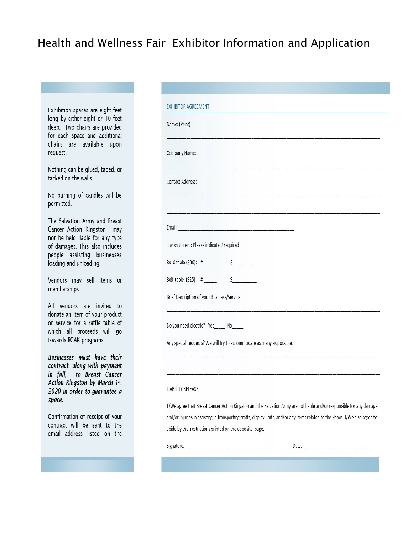## Health and Wellness Fair Exhibitor Information and Application

Exhibition spaces are eight feet long by either eight or 10 feet deep. Two chairs are provided for each space and additional chairs are available upon request.

Nothing can be glued, taped, or tacked on the walls.

No burning of candles will be permitted.

The Salvation Army and Breast Cancer Action Kingston may not be held liable for any type of damages. This also includes people assisting businesses loading and unloading.

Vendors may sell items or memberships.

All vendors are invited to donate an item of your product or service for a raffle table of which all proceeds will go towards BCAK programs.

**Businesses must have their** contract, along with payment in full, to Breast Cancer Action Kingston by March 1st, 2020 in order to guarantee a space.

Confirmation of receipt of your contract will be sent to the email address listed on the

| <b>EXHIBITOR AGREEMENT</b>                                            |                                                                                                                              |
|-----------------------------------------------------------------------|------------------------------------------------------------------------------------------------------------------------------|
| Name: (Print)                                                         |                                                                                                                              |
| Company Name:                                                         |                                                                                                                              |
| <b>Contact Address:</b>                                               |                                                                                                                              |
|                                                                       |                                                                                                                              |
|                                                                       |                                                                                                                              |
| I wish to rent: Please indicate # required                            |                                                                                                                              |
|                                                                       |                                                                                                                              |
| $8x8$ table $(525)$ # $\qquad \qquad$ 5                               |                                                                                                                              |
| Brief Description of your Business/Service:                           |                                                                                                                              |
| Do you need electric? Yes______ No_____                               |                                                                                                                              |
| Any special requests? We will try to accommodate as many as possible. |                                                                                                                              |
|                                                                       |                                                                                                                              |
| LIABILITY RELEASE                                                     |                                                                                                                              |
|                                                                       | I /We agree that Breast Cancer Action Kingston and the Salvation Army are not liable and/or responsible for any damage       |
|                                                                       | and/or injuries in assisting in transporting crafts, display units, and/or any items related to the Show. I/We also agree to |
| abide by the restrictions printed on the opposite page.               |                                                                                                                              |
|                                                                       |                                                                                                                              |